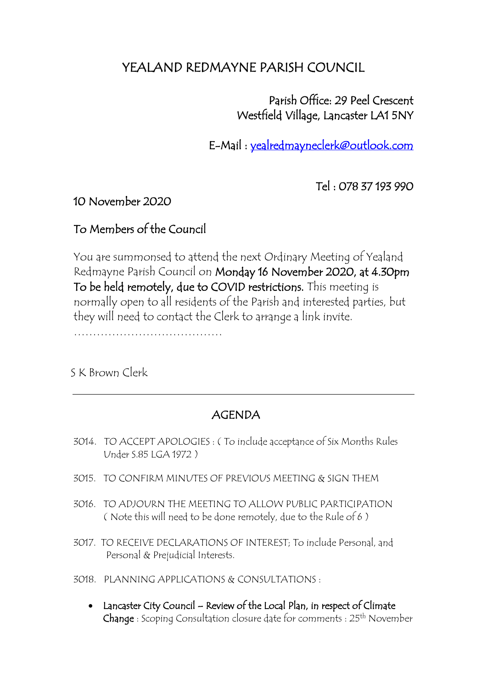# YEALAND REDMAYNE PARISH COUNCIL

 Parish Office: 29 Peel Crescent Westfield Village, Lancaster LA1 5NY

E-Mail : [yealredmayneclerk@outlook.com](mailto:yealredmayneclerk@outlook.com) 

Tel : 078 37 193 990

#### 10 November 2020

### To Members of the Council

You are summonsed to attend the next Ordinary Meeting of Yealand Redmayne Parish Council on Monday 16 November 2020, at 4.30pm To be held remotely, due to COVID restrictions. This meeting is normally open to all residents of the Parish and interested parties, but they will need to contact the Clerk to arrange a link invite.

…………………………………

S K Brown Clerk

## AGENDA

- 3014. TO ACCEPT APOLOGIES : ( To include acceptance of Six Months Rules Under S.85 LGA 1972 )
- 3015. TO CONFIRM MINUTES OF PREVIOUS MEETING & SIGN THEM
- 3016. TO ADJOURN THE MEETING TO ALLOW PUBLIC PARTICIPATION ( Note this will need to be done remotely, due to the Rule of 6 )
- 3017. TO RECEIVE DECLARATIONS OF INTEREST; To include Personal, and Personal & Prejudicial Interests.

3018. PLANNING APPLICATIONS & CONSULTATIONS :

• Lancaster City Council – Review of the Local Plan, in respect of Climate Change : Scoping Consultation closure date for comments : 25th November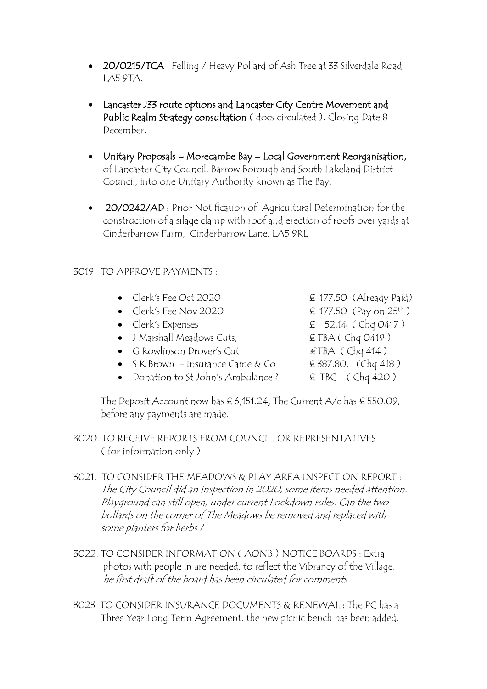- 20/0215/TCA : Felling / Heavy Pollard of Ash Tree at 33 Silverdale Road LA5 9TA.
- Lancaster J33 route options and Lancaster City Centre Movement and Public Realm Strategy consultation ( docs circulated ). Closing Date 8 December.
- Unitary Proposals Morecambe Bay Local Government Reorganisation, of Lancaster City Council, Barrow Borough and South Lakeland District Council, into one Unitary Authority known as The Bay.
- 20/0242/AD : Prior Notification of Agricultural Determination for the construction of a silage clamp with roof and erection of roofs over yards at Cinderbarrow Farm, Cinderbarrow Lane, LA5 9RL

#### 3019. TO APPROVE PAYMENTS :

• Clerk's Fee Oct 2020  $\epsilon$  177.50 (Already Paid) • Clerk's Fee Nov 2020  $\epsilon$  177.50 (Pay on 25<sup>th</sup>) • Clerk's Expenses  $\epsilon$  52.14 (Chq 0417) • J Marshall Meadows Cuts, ETBA (Chq 0419) • G Rowlinson Drover's Cut  $\epsilon$  TBA (Chq 414) •  $S$  K Brown - Insurance Came & Co  $E$  387.80. (Chq 418) • Donation to St John's Ambulance ?  $E$  TBC (Chq 420)

The Deposit Account now has  $\epsilon$  6,151.24, The Current A/c has  $\epsilon$  550.09, before any payments are made.

- 3020. TO RECEIVE REPORTS FROM COUNCILLOR REPRESENTATIVES ( for information only )
- 3021. TO CONSIDER THE MEADOWS & PLAY AREA INSPECTION REPORT : The City Council did an inspection in 2020, some items needed attention. Playground can still open, under current Lockdown rules. Can the two bollards on the corner of The Meadows be removed and replaced with some planters for herbs ?
- 3022. TO CONSIDER INFORMATION ( AONB ) NOTICE BOARDS : Extra photos with people in are needed, to reflect the Vibrancy of the Village. he first draft of the board has been circulated for comments
- 3023 TO CONSIDER INSURANCE DOCUMENTS & RENEWAL : The PC has a Three Year Long Term Agreement, the new picnic bench has been added.